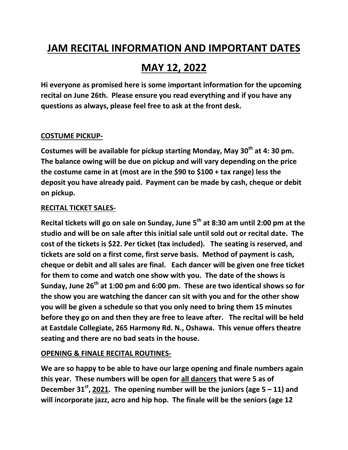# **JAM RECITAL INFORMATION AND IMPORTANT DATES**

# **MAY 12, 2022**

**Hi everyone as promised here is some important information for the upcoming recital on June 26th. Please ensure you read everything and if you have any questions as always, please feel free to ask at the front desk.**

### **COSTUME PICKUP-**

**Costumes will be available for pickup starting Monday, May 30th at 4: 30 pm. The balance owing will be due on pickup and will vary depending on the price the costume came in at (most are in the \$90 to \$100 + tax range) less the deposit you have already paid. Payment can be made by cash, cheque or debit on pickup.**

#### **RECITAL TICKET SALES-**

**Recital tickets will go on sale on Sunday, June 5th at 8:30 am until 2:00 pm at the studio and will be on sale after this initial sale until sold out or recital date. The cost of the tickets is \$22. Per ticket (tax included). The seating is reserved, and tickets are sold on a first come, first serve basis. Method of payment is cash, cheque or debit and all sales are final. Each dancer will be given one free ticket for them to come and watch one show with you. The date of the shows is Sunday, June 26th at 1:00 pm and 6:00 pm. These are two identical shows so for the show you are watching the dancer can sit with you and for the other show you will be given a schedule so that you only need to bring them 15 minutes before they go on and then they are free to leave after. The recital will be held at Eastdale Collegiate, 265 Harmony Rd. N., Oshawa. This venue offers theatre seating and there are no bad seats in the house.**

## **OPENING & FINALE RECITAL ROUTINES-**

**We are so happy to be able to have our large opening and finale numbers again this year. These numbers will be open for all dancers that were 5 as of December 31st , 2021. The opening number will be the juniors (age 5 – 11) and will incorporate jazz, acro and hip hop. The finale will be the seniors (age 12**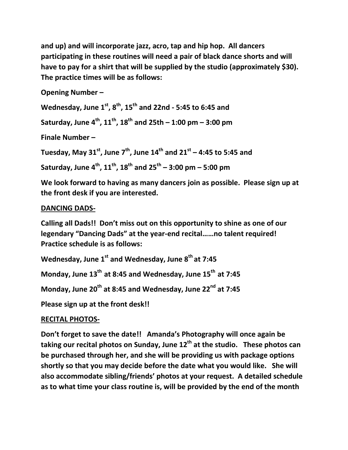**and up) and will incorporate jazz, acro, tap and hip hop. All dancers participating in these routines will need a pair of black dance shorts and will have to pay for a shirt that will be supplied by the studio (approximately \$30). The practice times will be as follows:**

**Opening Number –**

**Wednesday, June 1st, 8th, 15th and 22nd - 5:45 to 6:45 and**

**Saturday, June 4th, 11th, 18th and 25th – 1:00 pm – 3:00 pm**

**Finale Number –**

**Tuesday, May 31st, June 7th, June 14th and 21st – 4:45 to 5:45 and**

**Saturday, June 4th, 11th, 18th and 25th – 3:00 pm – 5:00 pm**

**We look forward to having as many dancers join as possible. Please sign up at the front desk if you are interested.**

### **DANCING DADS-**

**Calling all Dads!! Don't miss out on this opportunity to shine as one of our legendary "Dancing Dads" at the year-end recital……no talent required! Practice schedule is as follows:**

**Wednesday, June 1st and Wednesday, June 8 th at 7:45** 

**Monday, June 13th at 8:45 and Wednesday, June 15th at 7:45**

**Monday, June 20th at 8:45 and Wednesday, June 22nd at 7:45**

**Please sign up at the front desk!!**

## **RECITAL PHOTOS-**

**Don't forget to save the date!! Amanda's Photography will once again be taking our recital photos on Sunday, June 12th at the studio. These photos can be purchased through her, and she will be providing us with package options shortly so that you may decide before the date what you would like. She will also accommodate sibling/friends' photos at your request. A detailed schedule as to what time your class routine is, will be provided by the end of the month**